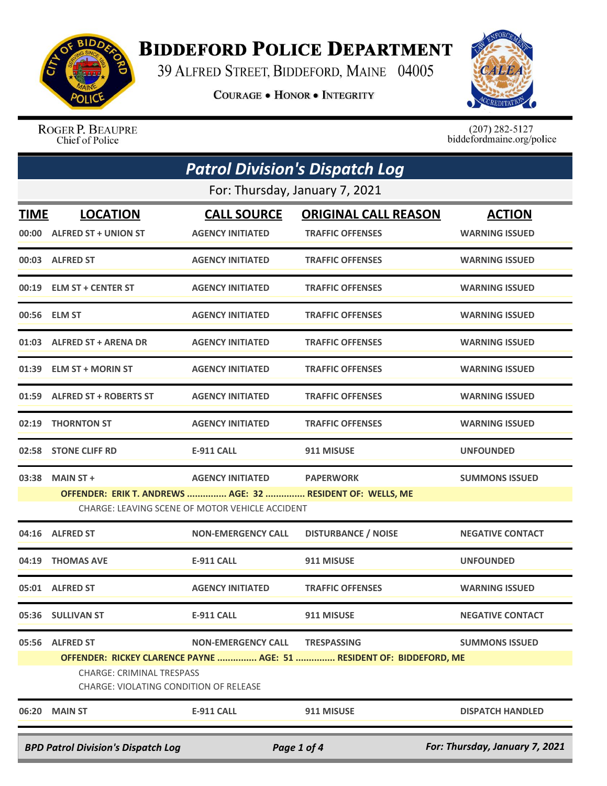

## **BIDDEFORD POLICE DEPARTMENT**

39 ALFRED STREET, BIDDEFORD, MAINE 04005

**COURAGE . HONOR . INTEGRITY** 



ROGER P. BEAUPRE<br>Chief of Police

 $(207)$  282-5127<br>biddefordmaine.org/police

|                                                                                            | <b>Patrol Division's Dispatch Log</b>                                                                         |                                               |                                                                                            |                                        |  |  |
|--------------------------------------------------------------------------------------------|---------------------------------------------------------------------------------------------------------------|-----------------------------------------------|--------------------------------------------------------------------------------------------|----------------------------------------|--|--|
|                                                                                            | For: Thursday, January 7, 2021                                                                                |                                               |                                                                                            |                                        |  |  |
| <b>TIME</b>                                                                                | <b>LOCATION</b><br>00:00 ALFRED ST + UNION ST                                                                 | <b>CALL SOURCE</b><br><b>AGENCY INITIATED</b> | <b>ORIGINAL CALL REASON</b><br><b>TRAFFIC OFFENSES</b>                                     | <b>ACTION</b><br><b>WARNING ISSUED</b> |  |  |
|                                                                                            | 00:03 ALFRED ST                                                                                               | <b>AGENCY INITIATED</b>                       | <b>TRAFFIC OFFENSES</b>                                                                    | <b>WARNING ISSUED</b>                  |  |  |
|                                                                                            | 00:19 ELM ST + CENTER ST                                                                                      | <b>AGENCY INITIATED</b>                       | <b>TRAFFIC OFFENSES</b>                                                                    | <b>WARNING ISSUED</b>                  |  |  |
|                                                                                            | 00:56 ELM ST                                                                                                  | <b>AGENCY INITIATED</b>                       | <b>TRAFFIC OFFENSES</b>                                                                    | <b>WARNING ISSUED</b>                  |  |  |
|                                                                                            | 01:03 ALFRED ST + ARENA DR                                                                                    | <b>AGENCY INITIATED</b>                       | <b>TRAFFIC OFFENSES</b>                                                                    | <b>WARNING ISSUED</b>                  |  |  |
|                                                                                            | 01:39 ELM ST + MORIN ST                                                                                       | <b>AGENCY INITIATED</b>                       | <b>TRAFFIC OFFENSES</b>                                                                    | <b>WARNING ISSUED</b>                  |  |  |
|                                                                                            | 01:59 ALFRED ST + ROBERTS ST                                                                                  | <b>AGENCY INITIATED</b>                       | <b>TRAFFIC OFFENSES</b>                                                                    | <b>WARNING ISSUED</b>                  |  |  |
| 02:19                                                                                      | <b>THORNTON ST</b>                                                                                            | <b>AGENCY INITIATED</b>                       | <b>TRAFFIC OFFENSES</b>                                                                    | <b>WARNING ISSUED</b>                  |  |  |
|                                                                                            | 02:58 STONE CLIFF RD                                                                                          | <b>E-911 CALL</b>                             | 911 MISUSE                                                                                 | <b>UNFOUNDED</b>                       |  |  |
| 03:38                                                                                      | <b>MAIN ST +</b>                                                                                              | <b>AGENCY INITIATED</b>                       | <b>PAPERWORK</b>                                                                           | <b>SUMMONS ISSUED</b>                  |  |  |
|                                                                                            | OFFENDER: ERIK T. ANDREWS  AGE: 32  RESIDENT OF: WELLS, ME<br>CHARGE: LEAVING SCENE OF MOTOR VEHICLE ACCIDENT |                                               |                                                                                            |                                        |  |  |
|                                                                                            | 04:16 ALFRED ST                                                                                               | <b>NON-EMERGENCY CALL</b>                     | <b>DISTURBANCE / NOISE</b>                                                                 | <b>NEGATIVE CONTACT</b>                |  |  |
| 04:19                                                                                      | <b>THOMAS AVE</b>                                                                                             | <b>E-911 CALL</b>                             | 911 MISUSE                                                                                 | <b>UNFOUNDED</b>                       |  |  |
|                                                                                            | 05:01 ALFRED ST                                                                                               | <b>AGENCY INITIATED</b>                       | <b>TRAFFIC OFFENSES</b>                                                                    | <b>WARNING ISSUED</b>                  |  |  |
|                                                                                            | 05:36 SULLIVAN ST                                                                                             | <b>E-911 CALL</b>                             | 911 MISUSE                                                                                 | <b>NEGATIVE CONTACT</b>                |  |  |
|                                                                                            | 05:56 ALFRED ST<br><b>CHARGE: CRIMINAL TRESPASS</b><br>CHARGE: VIOLATING CONDITION OF RELEASE                 | <b>NON-EMERGENCY CALL</b>                     | <b>TRESPASSING</b><br>OFFENDER: RICKEY CLARENCE PAYNE  AGE: 51  RESIDENT OF: BIDDEFORD, ME | <b>SUMMONS ISSUED</b>                  |  |  |
|                                                                                            | 06:20 MAIN ST                                                                                                 | <b>E-911 CALL</b>                             | 911 MISUSE                                                                                 | <b>DISPATCH HANDLED</b>                |  |  |
| For: Thursday, January 7, 2021<br><b>BPD Patrol Division's Dispatch Log</b><br>Page 1 of 4 |                                                                                                               |                                               |                                                                                            |                                        |  |  |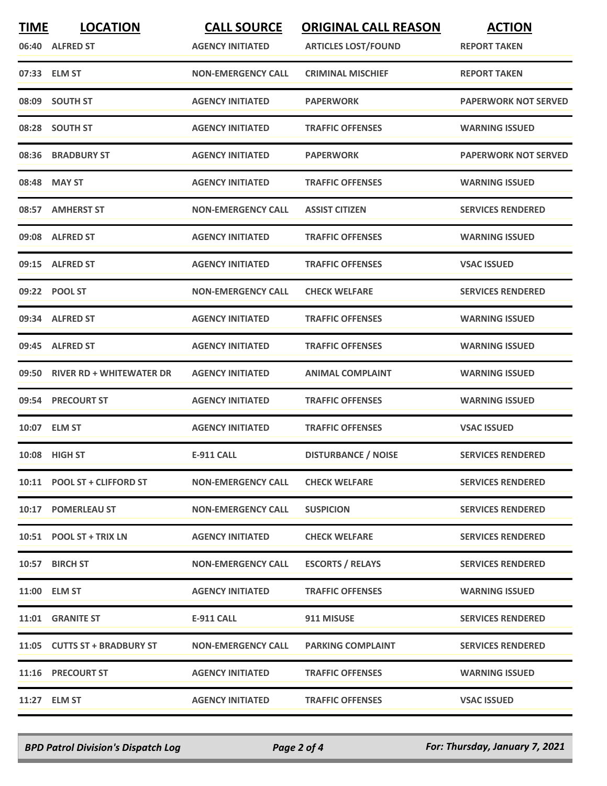| <b>TIME</b> | <b>LOCATION</b>                 | <b>CALL SOURCE</b>        | <b>ORIGINAL CALL REASON</b> | <b>ACTION</b>               |
|-------------|---------------------------------|---------------------------|-----------------------------|-----------------------------|
|             | 06:40 ALFRED ST                 | <b>AGENCY INITIATED</b>   | <b>ARTICLES LOST/FOUND</b>  | <b>REPORT TAKEN</b>         |
|             | 07:33 ELM ST                    | <b>NON-EMERGENCY CALL</b> | <b>CRIMINAL MISCHIEF</b>    | <b>REPORT TAKEN</b>         |
|             | 08:09 SOUTH ST                  | <b>AGENCY INITIATED</b>   | <b>PAPERWORK</b>            | <b>PAPERWORK NOT SERVED</b> |
|             | 08:28 SOUTH ST                  | <b>AGENCY INITIATED</b>   | <b>TRAFFIC OFFENSES</b>     | <b>WARNING ISSUED</b>       |
|             | 08:36 BRADBURY ST               | <b>AGENCY INITIATED</b>   | <b>PAPERWORK</b>            | <b>PAPERWORK NOT SERVED</b> |
|             | 08:48 MAY ST                    | <b>AGENCY INITIATED</b>   | <b>TRAFFIC OFFENSES</b>     | <b>WARNING ISSUED</b>       |
| 08:57       | <b>AMHERST ST</b>               | <b>NON-EMERGENCY CALL</b> | <b>ASSIST CITIZEN</b>       | <b>SERVICES RENDERED</b>    |
|             | 09:08 ALFRED ST                 | <b>AGENCY INITIATED</b>   | <b>TRAFFIC OFFENSES</b>     | <b>WARNING ISSUED</b>       |
|             | 09:15 ALFRED ST                 | <b>AGENCY INITIATED</b>   | <b>TRAFFIC OFFENSES</b>     | <b>VSAC ISSUED</b>          |
|             | 09:22 POOL ST                   | <b>NON-EMERGENCY CALL</b> | <b>CHECK WELFARE</b>        | <b>SERVICES RENDERED</b>    |
|             | 09:34 ALFRED ST                 | <b>AGENCY INITIATED</b>   | <b>TRAFFIC OFFENSES</b>     | <b>WARNING ISSUED</b>       |
|             | 09:45 ALFRED ST                 | <b>AGENCY INITIATED</b>   | <b>TRAFFIC OFFENSES</b>     | <b>WARNING ISSUED</b>       |
| 09:50       | <b>RIVER RD + WHITEWATER DR</b> | <b>AGENCY INITIATED</b>   | <b>ANIMAL COMPLAINT</b>     | <b>WARNING ISSUED</b>       |
| 09:54       | <b>PRECOURT ST</b>              | <b>AGENCY INITIATED</b>   | <b>TRAFFIC OFFENSES</b>     | <b>WARNING ISSUED</b>       |
|             | 10:07 ELM ST                    | <b>AGENCY INITIATED</b>   | <b>TRAFFIC OFFENSES</b>     | <b>VSAC ISSUED</b>          |
|             | 10:08 HIGH ST                   | <b>E-911 CALL</b>         | <b>DISTURBANCE / NOISE</b>  | <b>SERVICES RENDERED</b>    |
|             | 10:11 POOL ST + CLIFFORD ST     | <b>NON-EMERGENCY CALL</b> | <b>CHECK WELFARE</b>        | <b>SERVICES RENDERED</b>    |
|             | 10:17 POMERLEAU ST              | <b>NON-EMERGENCY CALL</b> | <b>SUSPICION</b>            | <b>SERVICES RENDERED</b>    |
|             | 10:51 POOL ST + TRIX LN         | <b>AGENCY INITIATED</b>   | <b>CHECK WELFARE</b>        | <b>SERVICES RENDERED</b>    |
|             | 10:57 BIRCH ST                  | <b>NON-EMERGENCY CALL</b> | <b>ESCORTS / RELAYS</b>     | <b>SERVICES RENDERED</b>    |
|             | 11:00 ELM ST                    | <b>AGENCY INITIATED</b>   | <b>TRAFFIC OFFENSES</b>     | <b>WARNING ISSUED</b>       |
|             | 11:01 GRANITE ST                | E-911 CALL                | 911 MISUSE                  | <b>SERVICES RENDERED</b>    |
|             | 11:05 CUTTS ST + BRADBURY ST    | <b>NON-EMERGENCY CALL</b> | <b>PARKING COMPLAINT</b>    | <b>SERVICES RENDERED</b>    |
|             | 11:16 PRECOURT ST               | <b>AGENCY INITIATED</b>   | <b>TRAFFIC OFFENSES</b>     | <b>WARNING ISSUED</b>       |
|             | 11:27 ELM ST                    | <b>AGENCY INITIATED</b>   | <b>TRAFFIC OFFENSES</b>     | <b>VSAC ISSUED</b>          |

*BPD Patrol Division's Dispatch Log Page 2 of 4 For: Thursday, January 7, 2021*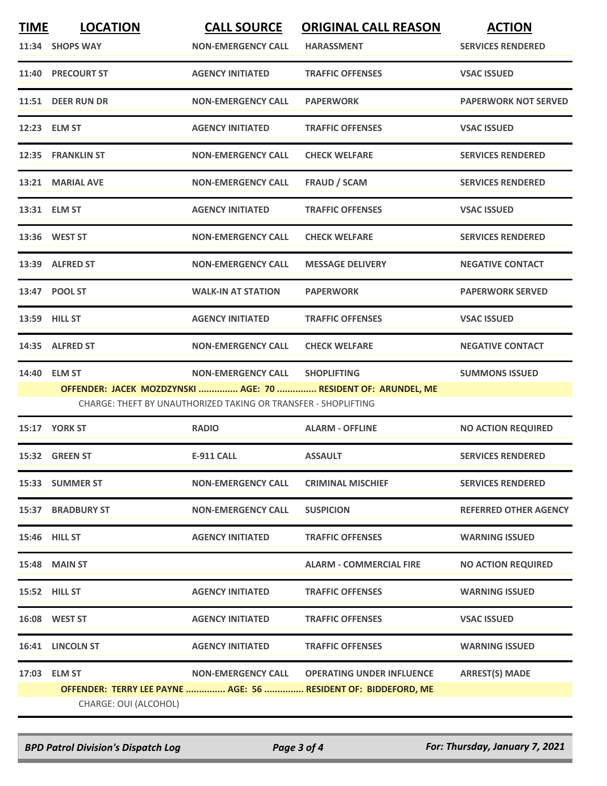| <b>TIME</b> | <b>LOCATION</b><br>11:34 SHOPS WAY | <b>CALL SOURCE</b><br><b>NON-EMERGENCY CALL</b>                                             | <b>ORIGINAL CALL REASON</b><br><b>HARASSMENT</b>                                    | <b>ACTION</b><br><b>SERVICES RENDERED</b> |
|-------------|------------------------------------|---------------------------------------------------------------------------------------------|-------------------------------------------------------------------------------------|-------------------------------------------|
| 11:40       | <b>PRECOURT ST</b>                 | <b>AGENCY INITIATED</b>                                                                     | <b>TRAFFIC OFFENSES</b>                                                             | <b>VSAC ISSUED</b>                        |
|             | 11:51 DEER RUN DR                  | <b>NON-EMERGENCY CALL</b>                                                                   | <b>PAPERWORK</b>                                                                    | <b>PAPERWORK NOT SERVED</b>               |
|             | 12:23 ELM ST                       | <b>AGENCY INITIATED</b>                                                                     | <b>TRAFFIC OFFENSES</b>                                                             | <b>VSAC ISSUED</b>                        |
|             | 12:35 FRANKLIN ST                  | <b>NON-EMERGENCY CALL</b>                                                                   | <b>CHECK WELFARE</b>                                                                | <b>SERVICES RENDERED</b>                  |
|             | 13:21 MARIAL AVE                   | <b>NON-EMERGENCY CALL</b>                                                                   | <b>FRAUD / SCAM</b>                                                                 | <b>SERVICES RENDERED</b>                  |
|             | 13:31 ELM ST                       | <b>AGENCY INITIATED</b>                                                                     | <b>TRAFFIC OFFENSES</b>                                                             | <b>VSAC ISSUED</b>                        |
|             | 13:36 WEST ST                      | <b>NON-EMERGENCY CALL</b>                                                                   | <b>CHECK WELFARE</b>                                                                | <b>SERVICES RENDERED</b>                  |
|             | 13:39 ALFRED ST                    | <b>NON-EMERGENCY CALL</b>                                                                   | <b>MESSAGE DELIVERY</b>                                                             | <b>NEGATIVE CONTACT</b>                   |
|             | 13:47 POOL ST                      | <b>WALK-IN AT STATION</b>                                                                   | <b>PAPERWORK</b>                                                                    | <b>PAPERWORK SERVED</b>                   |
|             | 13:59 HILL ST                      | <b>AGENCY INITIATED</b>                                                                     | <b>TRAFFIC OFFENSES</b>                                                             | <b>VSAC ISSUED</b>                        |
|             | 14:35 ALFRED ST                    | <b>NON-EMERGENCY CALL</b>                                                                   | <b>CHECK WELFARE</b>                                                                | <b>NEGATIVE CONTACT</b>                   |
|             | 14:40 ELM ST                       | <b>NON-EMERGENCY CALL</b><br>CHARGE: THEFT BY UNAUTHORIZED TAKING OR TRANSFER - SHOPLIFTING | <b>SHOPLIFTING</b><br>OFFENDER: JACEK MOZDZYNSKI  AGE: 70  RESIDENT OF: ARUNDEL, ME | <b>SUMMONS ISSUED</b>                     |
|             | 15:17 YORK ST                      | <b>RADIO</b>                                                                                | <b>ALARM - OFFLINE</b>                                                              | <b>NO ACTION REQUIRED</b>                 |
|             | 15:32 GREEN ST                     | <b>E-911 CALL</b>                                                                           | <b>ASSAULT</b>                                                                      | <b>SERVICES RENDERED</b>                  |
|             | 15:33 SUMMER ST                    | <b>NON-EMERGENCY CALL</b>                                                                   | <b>CRIMINAL MISCHIEF</b>                                                            | <b>SERVICES RENDERED</b>                  |
|             | <b>15:37 BRADBURY ST</b>           | <b>NON-EMERGENCY CALL</b>                                                                   | <b>SUSPICION</b>                                                                    | <b>REFERRED OTHER AGENCY</b>              |
|             | <b>15:46 HILL ST</b>               | <b>AGENCY INITIATED</b>                                                                     | <b>TRAFFIC OFFENSES</b>                                                             | <b>WARNING ISSUED</b>                     |
|             | <b>15:48 MAIN ST</b>               |                                                                                             | <b>ALARM - COMMERCIAL FIRE</b>                                                      | <b>NO ACTION REQUIRED</b>                 |
|             | 15:52 HILL ST                      | <b>AGENCY INITIATED</b>                                                                     | <b>TRAFFIC OFFENSES</b>                                                             | <b>WARNING ISSUED</b>                     |
|             | 16:08 WEST ST                      | <b>AGENCY INITIATED</b>                                                                     | <b>TRAFFIC OFFENSES</b>                                                             | <b>VSAC ISSUED</b>                        |
|             | 16:41 LINCOLN ST                   | <b>AGENCY INITIATED</b>                                                                     | <b>TRAFFIC OFFENSES</b>                                                             | <b>WARNING ISSUED</b>                     |
|             | 17:03 ELM ST                       | <b>NON-EMERGENCY CALL</b>                                                                   | <b>OPERATING UNDER INFLUENCE</b>                                                    | <b>ARREST(S) MADE</b>                     |
|             | CHARGE: OUI (ALCOHOL)              |                                                                                             | OFFENDER: TERRY LEE PAYNE  AGE: 56  RESIDENT OF: BIDDEFORD, ME                      |                                           |

*BPD Patrol Division's Dispatch Log Page 3 of 4 For: Thursday, January 7, 2021*